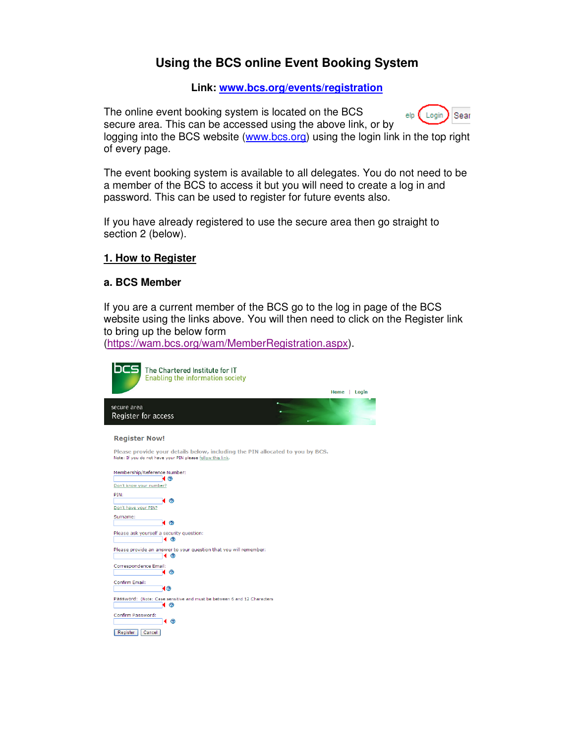# **Using the BCS online Event Booking System**

### **Link: www.bcs.org/events/registration**

The online event booking system is located on the BCS elp (Login) Sear secure area. This can be accessed using the above link, or by logging into the BCS website (www.bcs.org) using the login link in the top right of every page.

The event booking system is available to all delegates. You do not need to be a member of the BCS to access it but you will need to create a log in and password. This can be used to register for future events also.

If you have already registered to use the secure area then go straight to section 2 (below).

## **1. How to Register**

#### **a. BCS Member**

If you are a current member of the BCS go to the log in page of the BCS website using the links above. You will then need to click on the Register link to bring up the below form

(https://wam.bcs.org/wam/MemberRegistration.aspx).

| The Chartered Institute for IT<br><b>Enabling the information society</b>                                                                   |              |
|---------------------------------------------------------------------------------------------------------------------------------------------|--------------|
|                                                                                                                                             | Home   Login |
| secure area<br>Register for access                                                                                                          |              |
| <b>Register Now!</b>                                                                                                                        |              |
| Please provide your details below, including the PIN allocated to you by BCS.<br>Note: If you do not have your PIN please follow this link. |              |
| Membership/Reference Number:<br>( ඔ<br>Don't know your number?                                                                              |              |
| PIN:<br>⊛<br>Don't have your PIN?                                                                                                           |              |
| Surname:<br>( ⊚                                                                                                                             |              |
| Please ask yourself a security question:<br>∢ ⊚                                                                                             |              |
| Please provide an answer to your question that you will remember:<br>- (?)<br>◀                                                             |              |
| Correspondence Email:<br>⊛                                                                                                                  |              |
| Confirm Email:<br>ଏ⊚                                                                                                                        |              |
| Password: (Note: Case sensitive and must be between 6 and 12 Characters<br>⊚                                                                |              |
| Confirm Password:<br>∢ ⊚                                                                                                                    |              |
| Register<br>Cancel                                                                                                                          |              |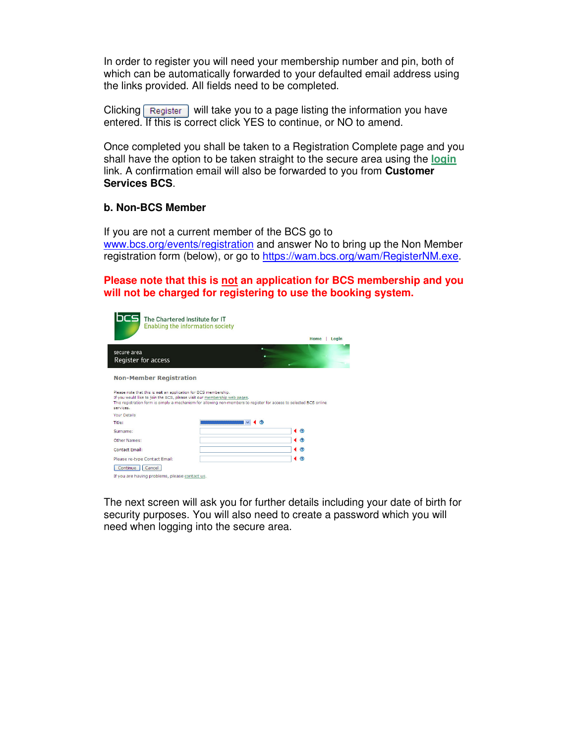In order to register you will need your membership number and pin, both of which can be automatically forwarded to your defaulted email address using the links provided. All fields need to be completed.

Clicking  $\lceil$  Register will take you to a page listing the information you have entered. If this is correct click YES to continue, or NO to amend.

Once completed you shall be taken to a Registration Complete page and you shall have the option to be taken straight to the secure area using the **login** link. A confirmation email will also be forwarded to you from **Customer Services BCS**.

#### **b. Non-BCS Member**

If you are not a current member of the BCS go to www.bcs.org/events/registration and answer No to bring up the Non Member registration form (below), or go to https://wam.bcs.org/wam/RegisterNM.exe.

**Please note that this is not an application for BCS membership and you will not be charged for registering to use the booking system.** 

| CS.<br>The Chartered Institute for IT<br><b>Enabling the information society</b>                                                                                                                                                                                                 | Home<br>Login           |
|----------------------------------------------------------------------------------------------------------------------------------------------------------------------------------------------------------------------------------------------------------------------------------|-------------------------|
| secure area<br>Register for access                                                                                                                                                                                                                                               |                         |
| <b>Non-Member Registration</b>                                                                                                                                                                                                                                                   |                         |
| Please note that this is not an application for BCS membership.<br>If you would like to join the BCS, please visit our membership web pages.<br>This registration form is simply a mechanism for allowing non-members to register for access to selected BCS online<br>services. |                         |
| <b>Your Details</b>                                                                                                                                                                                                                                                              |                         |
| Title:<br>⊚                                                                                                                                                                                                                                                                      |                         |
| Surname:                                                                                                                                                                                                                                                                         | $\triangleleft$ $\circ$ |
| Other Names:                                                                                                                                                                                                                                                                     | ⊚<br>◀                  |
| Contact Email:                                                                                                                                                                                                                                                                   | $\circ$<br>◀            |
| Please re-type Contact Email:                                                                                                                                                                                                                                                    | $\left( \circ \right)$  |
| Continue  <br>Cancel                                                                                                                                                                                                                                                             |                         |
| If you are having problems, please contact us.                                                                                                                                                                                                                                   |                         |

The next screen will ask you for further details including your date of birth for security purposes. You will also need to create a password which you will need when logging into the secure area.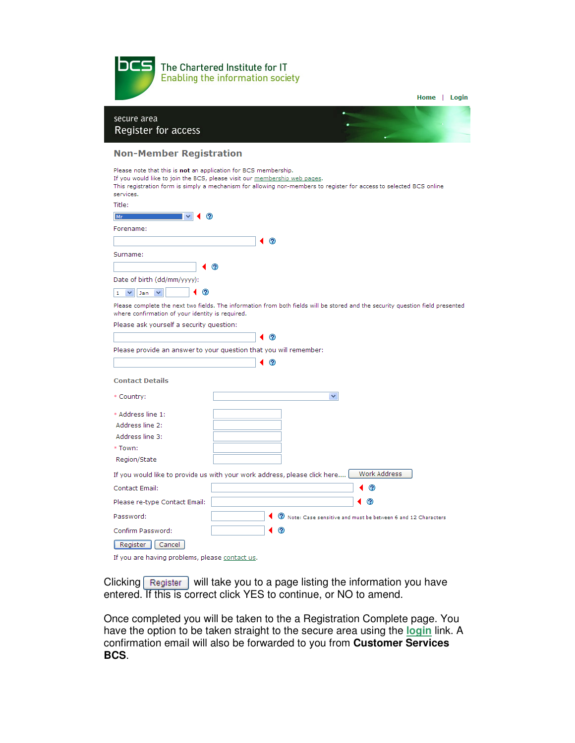

| secure area<br>Register for access                                                                                                                                                                                                                                               |  |
|----------------------------------------------------------------------------------------------------------------------------------------------------------------------------------------------------------------------------------------------------------------------------------|--|
| <b>Non-Member Registration</b>                                                                                                                                                                                                                                                   |  |
| Please note that this is not an application for BCS membership.<br>If you would like to join the BCS, please visit our membership web pages.<br>This registration form is simply a mechanism for allowing non-members to register for access to selected BCS online<br>services. |  |
| Title:                                                                                                                                                                                                                                                                           |  |
| Mr                                                                                                                                                                                                                                                                               |  |
| Forename:                                                                                                                                                                                                                                                                        |  |
| ℗                                                                                                                                                                                                                                                                                |  |
| Surname:                                                                                                                                                                                                                                                                         |  |
| ⊚                                                                                                                                                                                                                                                                                |  |
| Date of birth (dd/mm/yyyy):                                                                                                                                                                                                                                                      |  |
| ⊘<br>$\checkmark$<br>$\vee$                                                                                                                                                                                                                                                      |  |
| Jan<br>1                                                                                                                                                                                                                                                                         |  |
| Please complete the next two fields. The information from both fields will be stored and the security question field presented<br>where confirmation of your identity is required.                                                                                               |  |
| Please ask yourself a security question:                                                                                                                                                                                                                                         |  |
| Ω                                                                                                                                                                                                                                                                                |  |
| Please provide an answer to your question that you will remember:                                                                                                                                                                                                                |  |
| ⊚                                                                                                                                                                                                                                                                                |  |
|                                                                                                                                                                                                                                                                                  |  |
| <b>Contact Details</b>                                                                                                                                                                                                                                                           |  |
| * Country:<br>v                                                                                                                                                                                                                                                                  |  |
| * Address line 1:                                                                                                                                                                                                                                                                |  |
| Address line 2:                                                                                                                                                                                                                                                                  |  |
| Address line 3:                                                                                                                                                                                                                                                                  |  |
| * Town:                                                                                                                                                                                                                                                                          |  |
| Region/State                                                                                                                                                                                                                                                                     |  |
| Work Address<br>If you would like to provide us with your work address, please click here                                                                                                                                                                                        |  |
| Contact Email:<br>⊛                                                                                                                                                                                                                                                              |  |
| ⊚<br>Please re-type Contact Email:                                                                                                                                                                                                                                               |  |
| Password:<br><sup>2</sup> Note: Case sensitive and must be between 6 and 12 Characters                                                                                                                                                                                           |  |
| Confirm Password:<br>O.                                                                                                                                                                                                                                                          |  |
| Cancel<br>Register                                                                                                                                                                                                                                                               |  |

Home | Login

If you are having problems, please contact us.

Clicking Register will take you to a page listing the information you have entered. If this is correct click YES to continue, or NO to amend.

Once completed you will be taken to the a Registration Complete page. You have the option to be taken straight to the secure area using the **login** link. A confirmation email will also be forwarded to you from **Customer Services BCS**.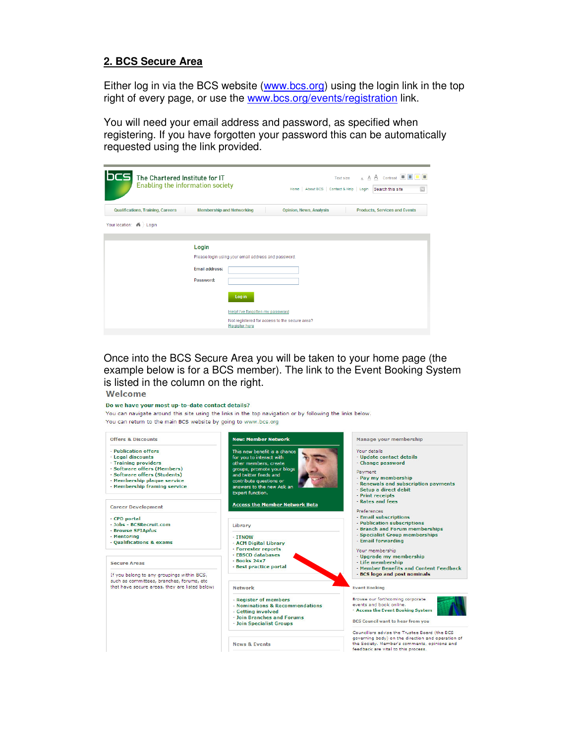#### **2. BCS Secure Area**

Either log in via the BCS website (www.bcs.org) using the login link in the top right of every page, or use the www.bcs.org/events/registration link.

You will need your email address and password, as specified when registering. If you have forgotten your password this can be automatically requested using the link provided.

| <b>bcs</b><br>The Chartered Institute for IT<br><b>Enabling the information society</b> |                                                     | Home   About BCS   Contact & Help   Login     | A A A Contrast<br>- 8<br>Text size<br>$\boxed{\color{blue}2}$<br>Search this site |
|-----------------------------------------------------------------------------------------|-----------------------------------------------------|-----------------------------------------------|-----------------------------------------------------------------------------------|
| Qualifications, Training, Careers                                                       | <b>Membership and Networking</b>                    | <b>Opinion, News, Analysis</b>                | <b>Products, Services and Events</b>                                              |
| Your location:<br>$\mathbf{M}$ > Login                                                  |                                                     |                                               |                                                                                   |
|                                                                                         |                                                     |                                               |                                                                                   |
|                                                                                         | Login                                               |                                               |                                                                                   |
|                                                                                         | Please login using your email address and password. |                                               |                                                                                   |
|                                                                                         | <b>Email address:</b>                               |                                               |                                                                                   |
|                                                                                         | Password:                                           |                                               |                                                                                   |
|                                                                                         | Log in                                              |                                               |                                                                                   |
|                                                                                         |                                                     | Help! I've forgotten my password              |                                                                                   |
|                                                                                         | <b>Register here</b>                                | Not registered for access to the secure area? |                                                                                   |

Once into the BCS Secure Area you will be taken to your home page (the example below is for a BCS member). The link to the Event Booking System is listed in the column on the right. Welcome

#### Do we have your most up-to-date contact details?

You can navigate around this site using the links in the top navigation or by following the links below. You can return to the main BCS website by going to www.bcs.org

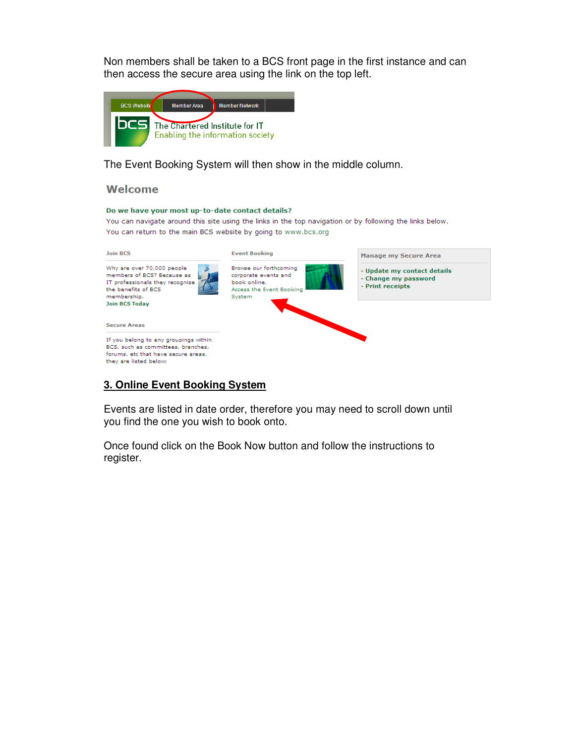Non members shall be taken to a BCS front page in the first instance and can then access the secure area using the link on the top left.



The Event Booking System will then show in the middle column.

#### Welcome

#### Do we have your most up-to-date contact details?

You can navigate around this site using the links in the top navigation or by following the links below. You can return to the main BCS website by going to www.bcs.org



#### **3. Online Event Booking System**

Events are listed in date order, therefore you may need to scroll down until you find the one you wish to book onto.

Once found click on the Book Now button and follow the instructions to register.